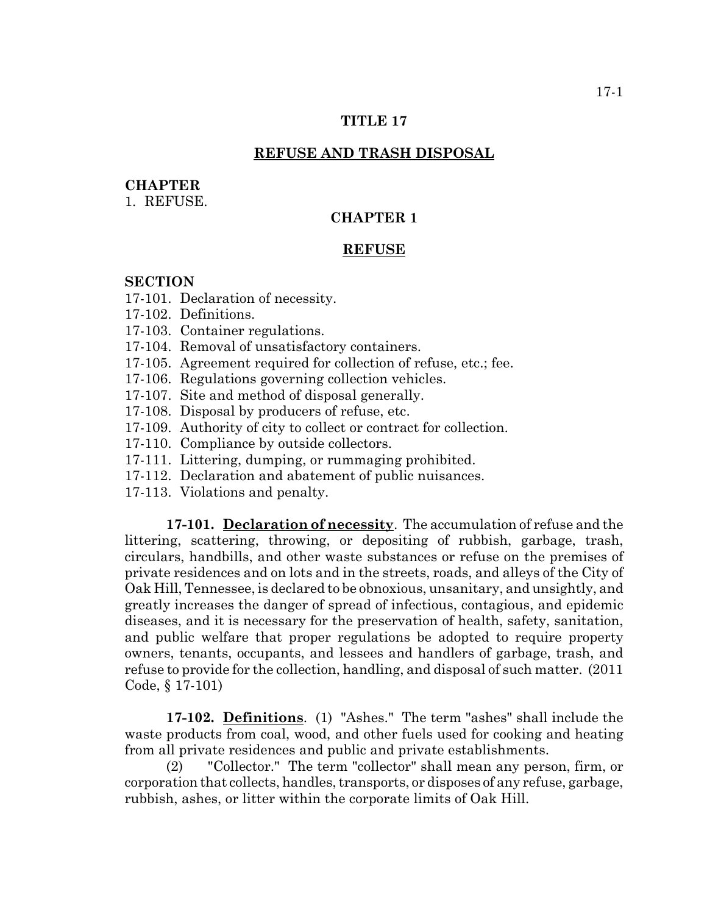## **TITLE 17**

#### **REFUSE AND TRASH DISPOSAL**

### **CHAPTER**

1. REFUSE.

# **CHAPTER 1**

## **REFUSE**

#### **SECTION**

17-101. Declaration of necessity.

17-102. Definitions.

- 17-103. Container regulations.
- 17-104. Removal of unsatisfactory containers.
- 17-105. Agreement required for collection of refuse, etc.; fee.
- 17-106. Regulations governing collection vehicles.
- 17-107. Site and method of disposal generally.
- 17-108. Disposal by producers of refuse, etc.
- 17-109. Authority of city to collect or contract for collection.
- 17-110. Compliance by outside collectors.
- 17-111. Littering, dumping, or rummaging prohibited.
- 17-112. Declaration and abatement of public nuisances.
- 17-113. Violations and penalty.

**17-101. Declaration of necessity**. The accumulation of refuse and the littering, scattering, throwing, or depositing of rubbish, garbage, trash, circulars, handbills, and other waste substances or refuse on the premises of private residences and on lots and in the streets, roads, and alleys of the City of Oak Hill, Tennessee, is declared to be obnoxious, unsanitary, and unsightly, and greatly increases the danger of spread of infectious, contagious, and epidemic diseases, and it is necessary for the preservation of health, safety, sanitation, and public welfare that proper regulations be adopted to require property owners, tenants, occupants, and lessees and handlers of garbage, trash, and refuse to provide for the collection, handling, and disposal of such matter. (2011 Code, § 17-101)

**17-102. Definitions**. (1) "Ashes." The term "ashes" shall include the waste products from coal, wood, and other fuels used for cooking and heating from all private residences and public and private establishments.

(2) "Collector." The term "collector" shall mean any person, firm, or corporation that collects, handles, transports, or disposes of any refuse, garbage, rubbish, ashes, or litter within the corporate limits of Oak Hill.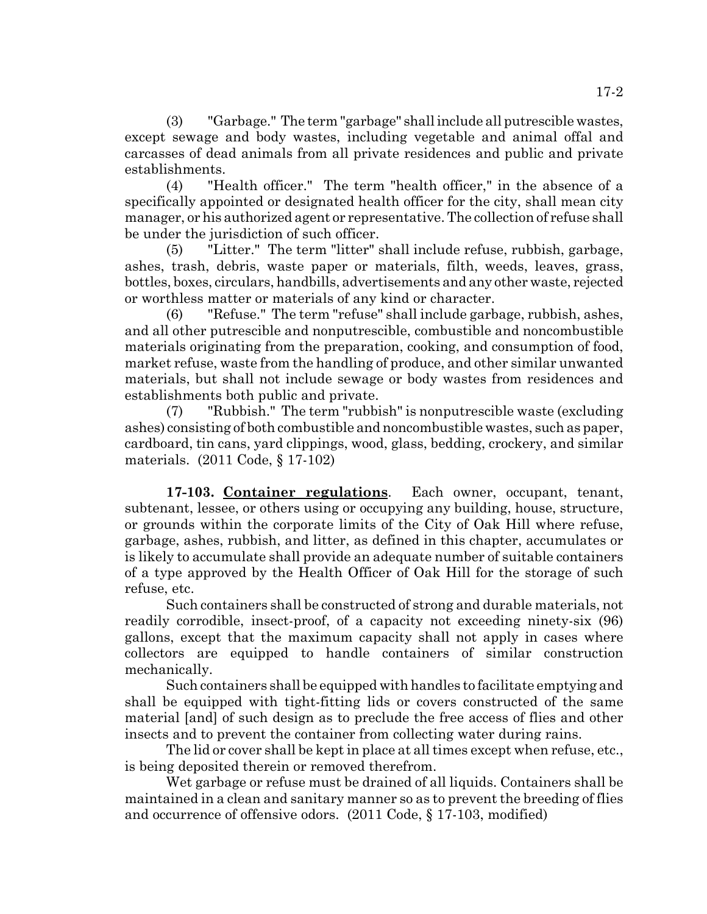(3) "Garbage." The term "garbage" shall include all putrescible wastes, except sewage and body wastes, including vegetable and animal offal and carcasses of dead animals from all private residences and public and private establishments.

(4) "Health officer." The term "health officer," in the absence of a specifically appointed or designated health officer for the city, shall mean city manager, or his authorized agent or representative. The collection of refuse shall be under the jurisdiction of such officer.

(5) "Litter." The term "litter" shall include refuse, rubbish, garbage, ashes, trash, debris, waste paper or materials, filth, weeds, leaves, grass, bottles, boxes, circulars, handbills, advertisements and any other waste, rejected or worthless matter or materials of any kind or character.

(6) "Refuse." The term "refuse" shall include garbage, rubbish, ashes, and all other putrescible and nonputrescible, combustible and noncombustible materials originating from the preparation, cooking, and consumption of food, market refuse, waste from the handling of produce, and other similar unwanted materials, but shall not include sewage or body wastes from residences and establishments both public and private.

(7) "Rubbish." The term "rubbish" is nonputrescible waste (excluding ashes) consisting of both combustible and noncombustible wastes, such as paper, cardboard, tin cans, yard clippings, wood, glass, bedding, crockery, and similar materials. (2011 Code, § 17-102)

**17-103. Container regulations**. Each owner, occupant, tenant, subtenant, lessee, or others using or occupying any building, house, structure, or grounds within the corporate limits of the City of Oak Hill where refuse, garbage, ashes, rubbish, and litter, as defined in this chapter, accumulates or is likely to accumulate shall provide an adequate number of suitable containers of a type approved by the Health Officer of Oak Hill for the storage of such refuse, etc.

Such containers shall be constructed of strong and durable materials, not readily corrodible, insect-proof, of a capacity not exceeding ninety-six (96) gallons, except that the maximum capacity shall not apply in cases where collectors are equipped to handle containers of similar construction mechanically.

Such containers shall be equipped with handles to facilitate emptying and shall be equipped with tight-fitting lids or covers constructed of the same material [and] of such design as to preclude the free access of flies and other insects and to prevent the container from collecting water during rains.

The lid or cover shall be kept in place at all times except when refuse, etc., is being deposited therein or removed therefrom.

Wet garbage or refuse must be drained of all liquids. Containers shall be maintained in a clean and sanitary manner so as to prevent the breeding of flies and occurrence of offensive odors. (2011 Code, § 17-103, modified)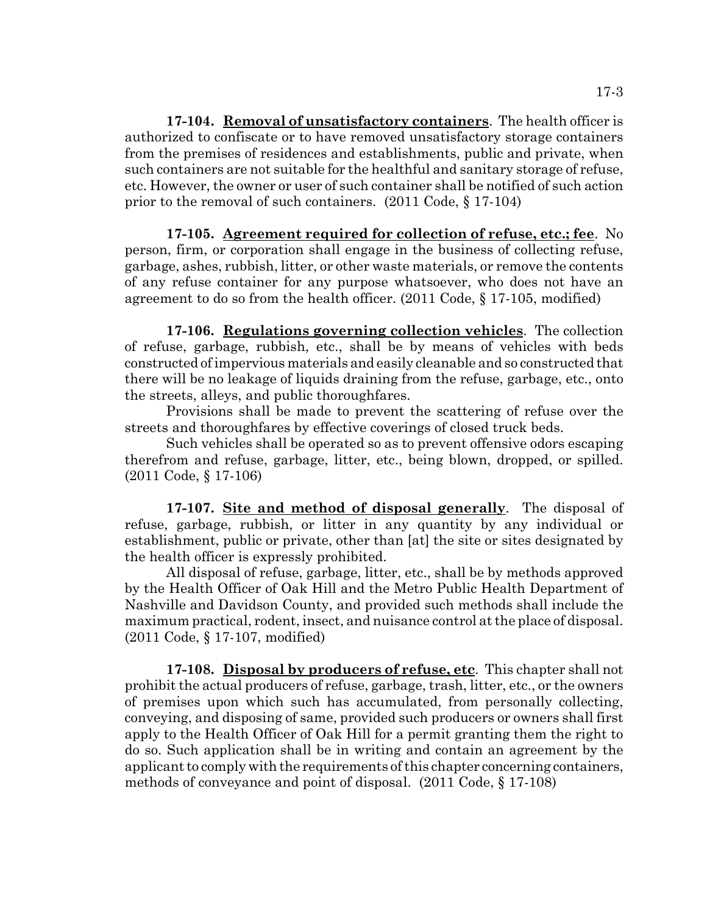**17-104. Removal of unsatisfactory containers**. The health officer is authorized to confiscate or to have removed unsatisfactory storage containers from the premises of residences and establishments, public and private, when such containers are not suitable for the healthful and sanitary storage of refuse, etc. However, the owner or user of such container shall be notified of such action prior to the removal of such containers. (2011 Code, § 17-104)

**17-105. Agreement required for collection of refuse, etc.; fee**. No person, firm, or corporation shall engage in the business of collecting refuse, garbage, ashes, rubbish, litter, or other waste materials, or remove the contents of any refuse container for any purpose whatsoever, who does not have an agreement to do so from the health officer. (2011 Code, § 17-105, modified)

**17-106. Regulations governing collection vehicles**. The collection of refuse, garbage, rubbish, etc., shall be by means of vehicles with beds constructed of impervious materials and easily cleanable and so constructed that there will be no leakage of liquids draining from the refuse, garbage, etc., onto the streets, alleys, and public thoroughfares.

Provisions shall be made to prevent the scattering of refuse over the streets and thoroughfares by effective coverings of closed truck beds.

Such vehicles shall be operated so as to prevent offensive odors escaping therefrom and refuse, garbage, litter, etc., being blown, dropped, or spilled. (2011 Code, § 17-106)

**17-107. Site and method of disposal generally**. The disposal of refuse, garbage, rubbish, or litter in any quantity by any individual or establishment, public or private, other than [at] the site or sites designated by the health officer is expressly prohibited.

All disposal of refuse, garbage, litter, etc., shall be by methods approved by the Health Officer of Oak Hill and the Metro Public Health Department of Nashville and Davidson County, and provided such methods shall include the maximum practical, rodent, insect, and nuisance control at the place of disposal. (2011 Code, § 17-107, modified)

**17-108. Disposal by producers of refuse, etc**. This chapter shall not prohibit the actual producers of refuse, garbage, trash, litter, etc., or the owners of premises upon which such has accumulated, from personally collecting, conveying, and disposing of same, provided such producers or owners shall first apply to the Health Officer of Oak Hill for a permit granting them the right to do so. Such application shall be in writing and contain an agreement by the applicant to comply with the requirements of this chapter concerning containers, methods of conveyance and point of disposal. (2011 Code, § 17-108)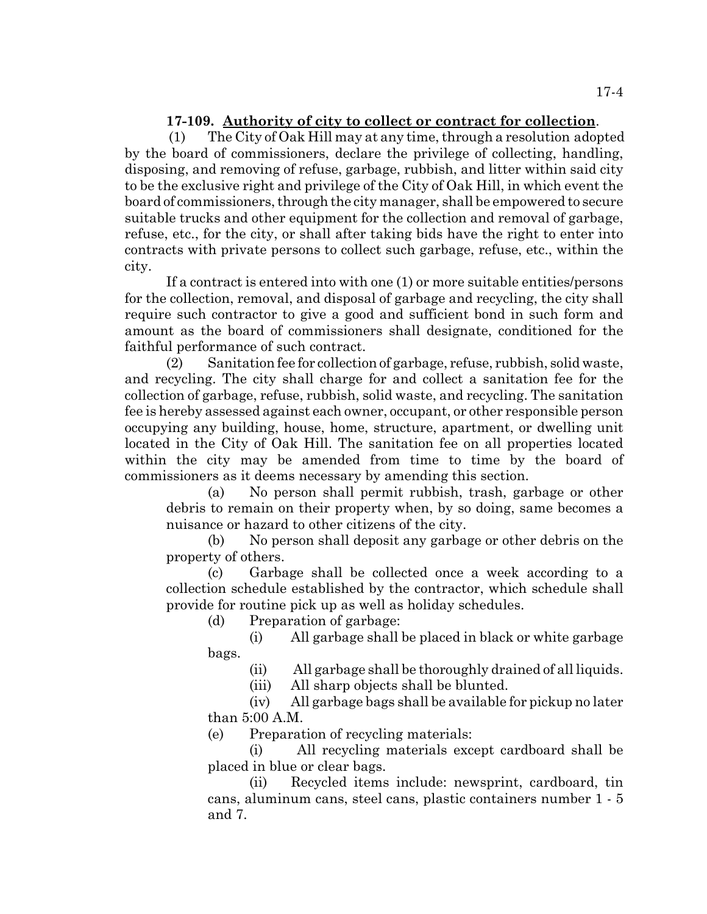# **17-109. Authority of city to collect or contract for collection**.

 (1) The City of Oak Hill may at any time, through a resolution adopted by the board of commissioners, declare the privilege of collecting, handling, disposing, and removing of refuse, garbage, rubbish, and litter within said city to be the exclusive right and privilege of the City of Oak Hill, in which event the board of commissioners, through the city manager, shall be empowered to secure suitable trucks and other equipment for the collection and removal of garbage, refuse, etc., for the city, or shall after taking bids have the right to enter into contracts with private persons to collect such garbage, refuse, etc., within the city.

If a contract is entered into with one (1) or more suitable entities/persons for the collection, removal, and disposal of garbage and recycling, the city shall require such contractor to give a good and sufficient bond in such form and amount as the board of commissioners shall designate, conditioned for the faithful performance of such contract.

(2) Sanitation fee for collection of garbage, refuse, rubbish, solid waste, and recycling. The city shall charge for and collect a sanitation fee for the collection of garbage, refuse, rubbish, solid waste, and recycling. The sanitation fee is hereby assessed against each owner, occupant, or other responsible person occupying any building, house, home, structure, apartment, or dwelling unit located in the City of Oak Hill. The sanitation fee on all properties located within the city may be amended from time to time by the board of commissioners as it deems necessary by amending this section.

(a) No person shall permit rubbish, trash, garbage or other debris to remain on their property when, by so doing, same becomes a nuisance or hazard to other citizens of the city.

(b) No person shall deposit any garbage or other debris on the property of others.

(c) Garbage shall be collected once a week according to a collection schedule established by the contractor, which schedule shall provide for routine pick up as well as holiday schedules.

(d) Preparation of garbage:

(i) All garbage shall be placed in black or white garbage bags.

(ii) All garbage shall be thoroughly drained of all liquids.

(iii) All sharp objects shall be blunted.

(iv) All garbage bags shall be available for pickup no later than 5:00 A.M.

(e) Preparation of recycling materials:

(i) All recycling materials except cardboard shall be placed in blue or clear bags.

(ii) Recycled items include: newsprint, cardboard, tin cans, aluminum cans, steel cans, plastic containers number 1 - 5 and 7.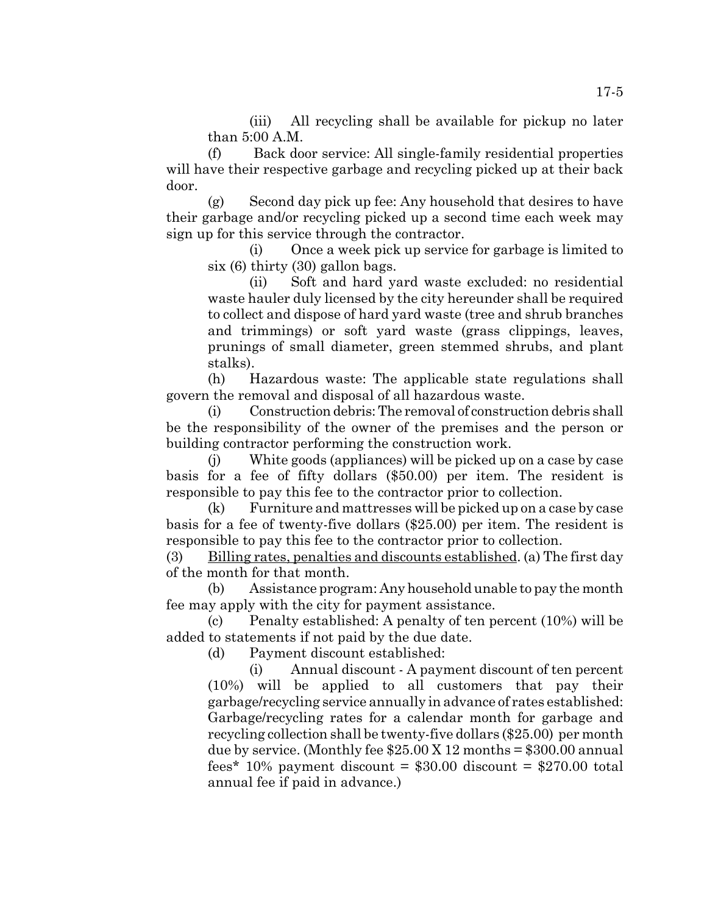(iii) All recycling shall be available for pickup no later than 5:00 A.M.

(f) Back door service: All single-family residential properties will have their respective garbage and recycling picked up at their back door.

(g) Second day pick up fee: Any household that desires to have their garbage and/or recycling picked up a second time each week may sign up for this service through the contractor.

(i) Once a week pick up service for garbage is limited to six (6) thirty (30) gallon bags.

(ii) Soft and hard yard waste excluded: no residential waste hauler duly licensed by the city hereunder shall be required to collect and dispose of hard yard waste (tree and shrub branches and trimmings) or soft yard waste (grass clippings, leaves, prunings of small diameter, green stemmed shrubs, and plant stalks).

(h) Hazardous waste: The applicable state regulations shall govern the removal and disposal of all hazardous waste.

(i) Construction debris: The removal of construction debris shall be the responsibility of the owner of the premises and the person or building contractor performing the construction work.

(j) White goods (appliances) will be picked up on a case by case basis for a fee of fifty dollars (\$50.00) per item. The resident is responsible to pay this fee to the contractor prior to collection.

(k) Furniture and mattresses will be picked up on a case by case basis for a fee of twenty-five dollars (\$25.00) per item. The resident is responsible to pay this fee to the contractor prior to collection.

(3) Billing rates, penalties and discounts established. (a) The first day of the month for that month.

(b) Assistance program: Any household unable to pay the month fee may apply with the city for payment assistance.

(c) Penalty established: A penalty of ten percent (10%) will be added to statements if not paid by the due date.

(d) Payment discount established:

(i) Annual discount - A payment discount of ten percent (10%) will be applied to all customers that pay their garbage/recycling service annually in advance of rates established: Garbage/recycling rates for a calendar month for garbage and recycling collection shall be twenty-five dollars (\$25.00) per month due by service. (Monthly fee  $$25.00 \text{ X } 12 \text{ months} = $300.00 \text{ annual}$ fees\* 10% payment discount =  $$30.00$  discount =  $$270.00$  total annual fee if paid in advance.)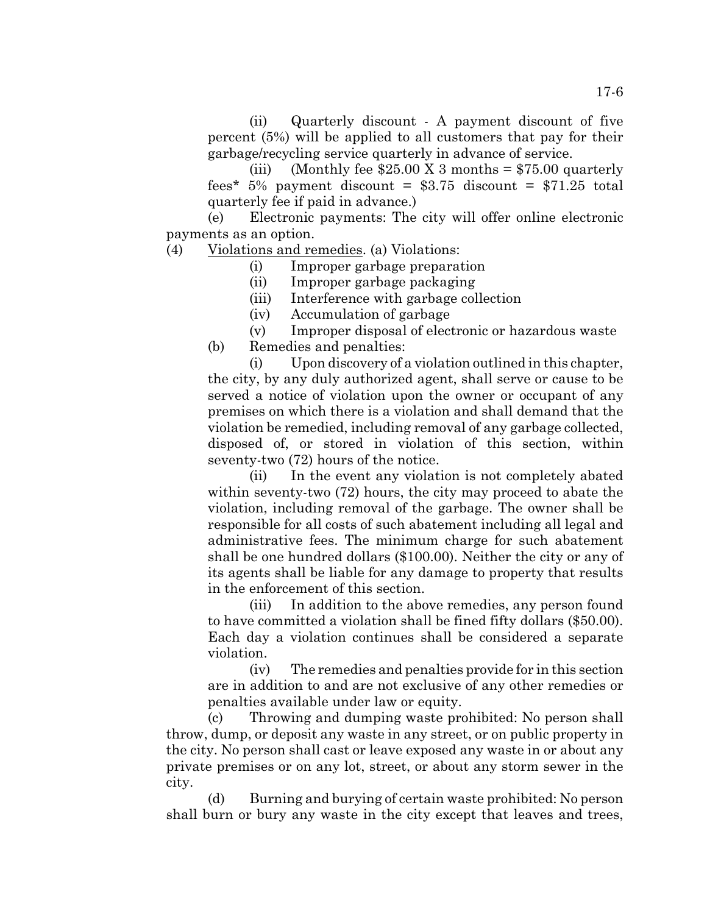(ii) Quarterly discount - A payment discount of five percent (5%) will be applied to all customers that pay for their garbage/recycling service quarterly in advance of service.

(iii) (Monthly fee  $$25.00 \text{ X } 3 \text{ months} = $75.00 \text{ quarterly}$ fees\* 5% payment discount =  $$3.75$  discount =  $$71.25$  total quarterly fee if paid in advance.)

(e) Electronic payments: The city will offer online electronic payments as an option.

(4) Violations and remedies. (a) Violations:

(i) Improper garbage preparation

(ii) Improper garbage packaging

(iii) Interference with garbage collection

(iv) Accumulation of garbage

(v) Improper disposal of electronic or hazardous waste (b) Remedies and penalties:

(i) Upon discovery of a violation outlined in this chapter, the city, by any duly authorized agent, shall serve or cause to be served a notice of violation upon the owner or occupant of any premises on which there is a violation and shall demand that the violation be remedied, including removal of any garbage collected, disposed of, or stored in violation of this section, within seventy-two (72) hours of the notice.

(ii) In the event any violation is not completely abated within seventy-two (72) hours, the city may proceed to abate the violation, including removal of the garbage. The owner shall be responsible for all costs of such abatement including all legal and administrative fees. The minimum charge for such abatement shall be one hundred dollars (\$100.00). Neither the city or any of its agents shall be liable for any damage to property that results in the enforcement of this section.

(iii) In addition to the above remedies, any person found to have committed a violation shall be fined fifty dollars (\$50.00). Each day a violation continues shall be considered a separate violation.

(iv) The remedies and penalties provide for in this section are in addition to and are not exclusive of any other remedies or penalties available under law or equity.

(c) Throwing and dumping waste prohibited: No person shall throw, dump, or deposit any waste in any street, or on public property in the city. No person shall cast or leave exposed any waste in or about any private premises or on any lot, street, or about any storm sewer in the city.

(d) Burning and burying of certain waste prohibited: No person shall burn or bury any waste in the city except that leaves and trees,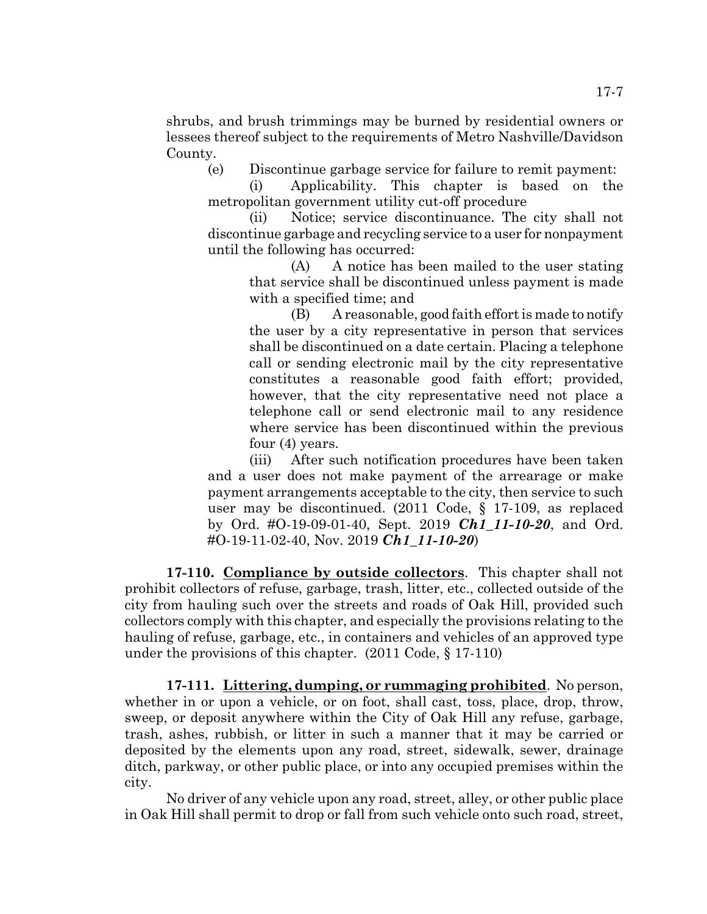shrubs, and brush trimmings may be burned by residential owners or lessees thereof subject to the requirements of Metro Nashville/Davidson County.

(e) Discontinue garbage service for failure to remit payment:

(i) Applicability. This chapter is based on the metropolitan government utility cut-off procedure

(ii) Notice; service discontinuance. The city shall not discontinue garbage and recycling service to a user for nonpayment until the following has occurred:

(A) A notice has been mailed to the user stating that service shall be discontinued unless payment is made with a specified time; and

(B) A reasonable, good faith effort is made to notify the user by a city representative in person that services shall be discontinued on a date certain. Placing a telephone call or sending electronic mail by the city representative constitutes a reasonable good faith effort; provided, however, that the city representative need not place a telephone call or send electronic mail to any residence where service has been discontinued within the previous four (4) years.

(iii) After such notification procedures have been taken and a user does not make payment of the arrearage or make payment arrangements acceptable to the city, then service to such user may be discontinued. (2011 Code, § 17-109, as replaced by Ord. #O-19-09-01-40, Sept. 2019 *Ch1\_11-10-20*, and Ord. #O-19-11-02-40, Nov. 2019 *Ch1\_11-10-20*)

**17-110. Compliance by outside collectors**. This chapter shall not prohibit collectors of refuse, garbage, trash, litter, etc., collected outside of the city from hauling such over the streets and roads of Oak Hill, provided such collectors comply with this chapter, and especially the provisions relating to the hauling of refuse, garbage, etc., in containers and vehicles of an approved type under the provisions of this chapter. (2011 Code, § 17-110)

**17-111. Littering, dumping, or rummaging prohibited**. No person, whether in or upon a vehicle, or on foot, shall cast, toss, place, drop, throw, sweep, or deposit anywhere within the City of Oak Hill any refuse, garbage, trash, ashes, rubbish, or litter in such a manner that it may be carried or deposited by the elements upon any road, street, sidewalk, sewer, drainage ditch, parkway, or other public place, or into any occupied premises within the city.

No driver of any vehicle upon any road, street, alley, or other public place in Oak Hill shall permit to drop or fall from such vehicle onto such road, street,